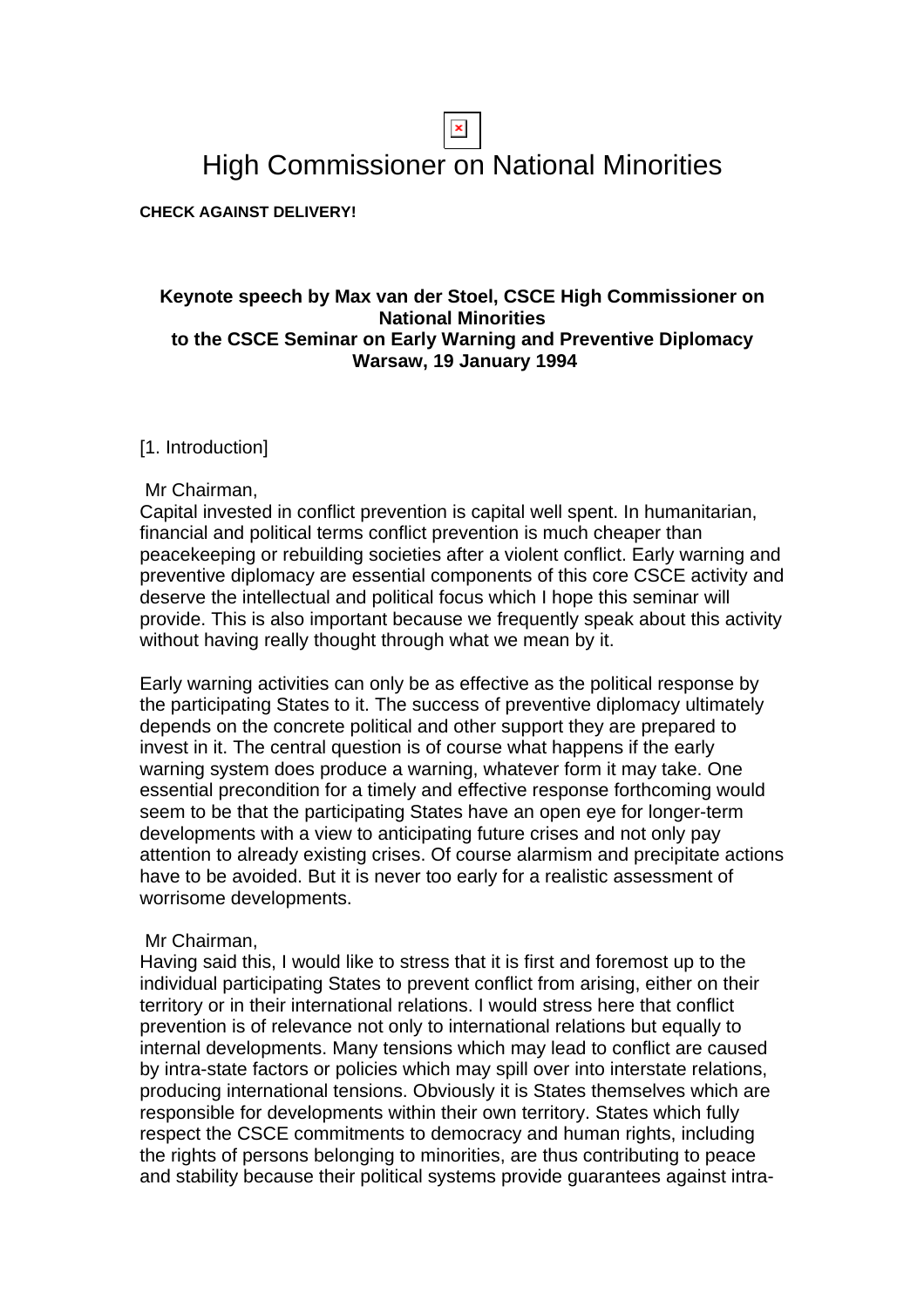# High Commissioner on National Minorities

**CHECK AGAINST DELIVERY!**

# **Keynote speech by Max van der Stoel, CSCE High Commissioner on National Minorities to the CSCE Seminar on Early Warning and Preventive Diplomacy Warsaw, 19 January 1994**

# [1. Introduction]

#### Mr Chairman,

Capital invested in conflict prevention is capital well spent. In humanitarian, financial and political terms conflict prevention is much cheaper than peacekeeping or rebuilding societies after a violent conflict. Early warning and preventive diplomacy are essential components of this core CSCE activity and deserve the intellectual and political focus which I hope this seminar will provide. This is also important because we frequently speak about this activity without having really thought through what we mean by it.

Early warning activities can only be as effective as the political response by the participating States to it. The success of preventive diplomacy ultimately depends on the concrete political and other support they are prepared to invest in it. The central question is of course what happens if the early warning system does produce a warning, whatever form it may take. One essential precondition for a timely and effective response forthcoming would seem to be that the participating States have an open eye for longer-term developments with a view to anticipating future crises and not only pay attention to already existing crises. Of course alarmism and precipitate actions have to be avoided. But it is never too early for a realistic assessment of worrisome developments.

#### Mr Chairman,

Having said this, I would like to stress that it is first and foremost up to the individual participating States to prevent conflict from arising, either on their territory or in their international relations. I would stress here that conflict prevention is of relevance not only to international relations but equally to internal developments. Many tensions which may lead to conflict are caused by intra-state factors or policies which may spill over into interstate relations, producing international tensions. Obviously it is States themselves which are responsible for developments within their own territory. States which fully respect the CSCE commitments to democracy and human rights, including the rights of persons belonging to minorities, are thus contributing to peace and stability because their political systems provide guarantees against intra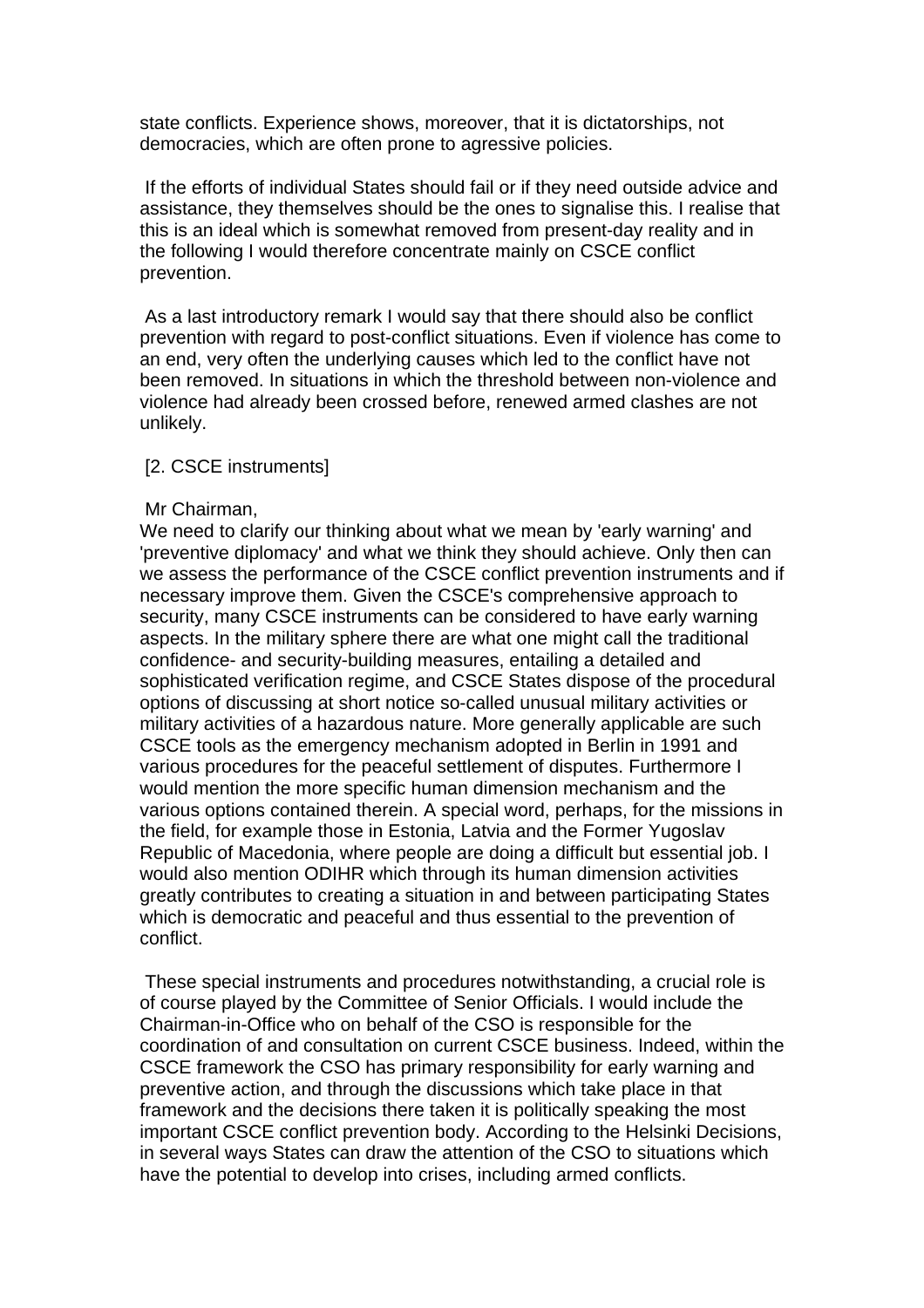state conflicts. Experience shows, moreover, that it is dictatorships, not democracies, which are often prone to agressive policies.

 If the efforts of individual States should fail or if they need outside advice and assistance, they themselves should be the ones to signalise this. I realise that this is an ideal which is somewhat removed from present-day reality and in the following I would therefore concentrate mainly on CSCE conflict prevention.

 As a last introductory remark I would say that there should also be conflict prevention with regard to post-conflict situations. Even if violence has come to an end, very often the underlying causes which led to the conflict have not been removed. In situations in which the threshold between non-violence and violence had already been crossed before, renewed armed clashes are not unlikely.

#### [2. CSCE instruments]

#### Mr Chairman,

We need to clarify our thinking about what we mean by 'early warning' and 'preventive diplomacy' and what we think they should achieve. Only then can we assess the performance of the CSCE conflict prevention instruments and if necessary improve them. Given the CSCE's comprehensive approach to security, many CSCE instruments can be considered to have early warning aspects. In the military sphere there are what one might call the traditional confidence- and security-building measures, entailing a detailed and sophisticated verification regime, and CSCE States dispose of the procedural options of discussing at short notice so-called unusual military activities or military activities of a hazardous nature. More generally applicable are such CSCE tools as the emergency mechanism adopted in Berlin in 1991 and various procedures for the peaceful settlement of disputes. Furthermore I would mention the more specific human dimension mechanism and the various options contained therein. A special word, perhaps, for the missions in the field, for example those in Estonia, Latvia and the Former Yugoslav Republic of Macedonia, where people are doing a difficult but essential job. I would also mention ODIHR which through its human dimension activities greatly contributes to creating a situation in and between participating States which is democratic and peaceful and thus essential to the prevention of conflict.

 These special instruments and procedures notwithstanding, a crucial role is of course played by the Committee of Senior Officials. I would include the Chairman-in-Office who on behalf of the CSO is responsible for the coordination of and consultation on current CSCE business. Indeed, within the CSCE framework the CSO has primary responsibility for early warning and preventive action, and through the discussions which take place in that framework and the decisions there taken it is politically speaking the most important CSCE conflict prevention body. According to the Helsinki Decisions, in several ways States can draw the attention of the CSO to situations which have the potential to develop into crises, including armed conflicts.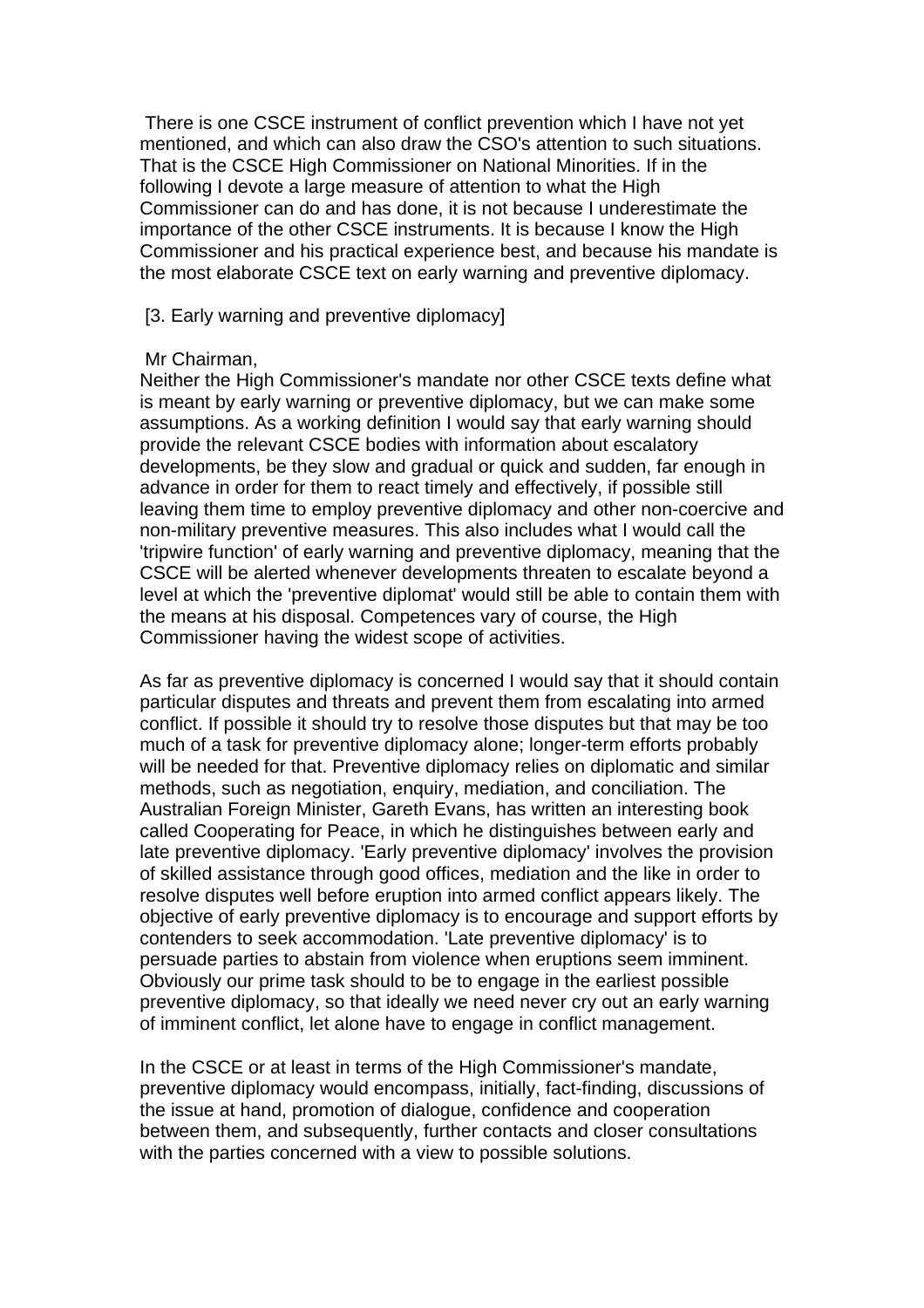There is one CSCE instrument of conflict prevention which I have not yet mentioned, and which can also draw the CSO's attention to such situations. That is the CSCE High Commissioner on National Minorities. If in the following I devote a large measure of attention to what the High Commissioner can do and has done, it is not because I underestimate the importance of the other CSCE instruments. It is because I know the High Commissioner and his practical experience best, and because his mandate is the most elaborate CSCE text on early warning and preventive diplomacy.

[3. Early warning and preventive diplomacy]

#### Mr Chairman,

Neither the High Commissioner's mandate nor other CSCE texts define what is meant by early warning or preventive diplomacy, but we can make some assumptions. As a working definition I would say that early warning should provide the relevant CSCE bodies with information about escalatory developments, be they slow and gradual or quick and sudden, far enough in advance in order for them to react timely and effectively, if possible still leaving them time to employ preventive diplomacy and other non-coercive and non-military preventive measures. This also includes what I would call the 'tripwire function' of early warning and preventive diplomacy, meaning that the CSCE will be alerted whenever developments threaten to escalate beyond a level at which the 'preventive diplomat' would still be able to contain them with the means at his disposal. Competences vary of course, the High Commissioner having the widest scope of activities.

As far as preventive diplomacy is concerned I would say that it should contain particular disputes and threats and prevent them from escalating into armed conflict. If possible it should try to resolve those disputes but that may be too much of a task for preventive diplomacy alone; longer-term efforts probably will be needed for that. Preventive diplomacy relies on diplomatic and similar methods, such as negotiation, enquiry, mediation, and conciliation. The Australian Foreign Minister, Gareth Evans, has written an interesting book called Cooperating for Peace, in which he distinguishes between early and late preventive diplomacy. 'Early preventive diplomacy' involves the provision of skilled assistance through good offices, mediation and the like in order to resolve disputes well before eruption into armed conflict appears likely. The objective of early preventive diplomacy is to encourage and support efforts by contenders to seek accommodation. 'Late preventive diplomacy' is to persuade parties to abstain from violence when eruptions seem imminent. Obviously our prime task should to be to engage in the earliest possible preventive diplomacy, so that ideally we need never cry out an early warning of imminent conflict, let alone have to engage in conflict management.

In the CSCE or at least in terms of the High Commissioner's mandate, preventive diplomacy would encompass, initially, fact-finding, discussions of the issue at hand, promotion of dialogue, confidence and cooperation between them, and subsequently, further contacts and closer consultations with the parties concerned with a view to possible solutions.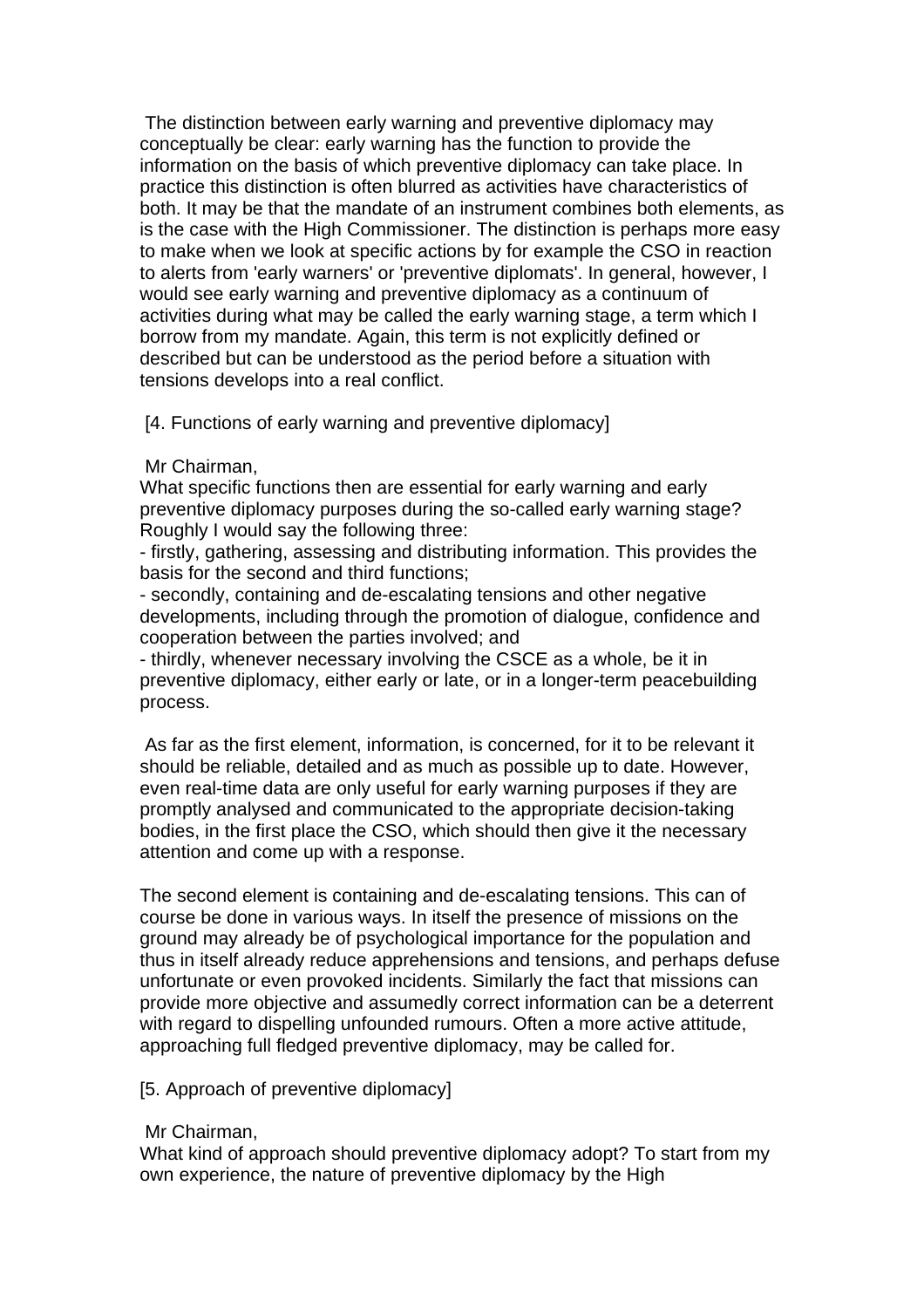The distinction between early warning and preventive diplomacy may conceptually be clear: early warning has the function to provide the information on the basis of which preventive diplomacy can take place. In practice this distinction is often blurred as activities have characteristics of both. It may be that the mandate of an instrument combines both elements, as is the case with the High Commissioner. The distinction is perhaps more easy to make when we look at specific actions by for example the CSO in reaction to alerts from 'early warners' or 'preventive diplomats'. In general, however, I would see early warning and preventive diplomacy as a continuum of activities during what may be called the early warning stage, a term which I borrow from my mandate. Again, this term is not explicitly defined or described but can be understood as the period before a situation with tensions develops into a real conflict.

[4. Functions of early warning and preventive diplomacy]

# Mr Chairman,

What specific functions then are essential for early warning and early preventive diplomacy purposes during the so-called early warning stage? Roughly I would say the following three:

- firstly, gathering, assessing and distributing information. This provides the basis for the second and third functions;

- secondly, containing and de-escalating tensions and other negative developments, including through the promotion of dialogue, confidence and cooperation between the parties involved; and

- thirdly, whenever necessary involving the CSCE as a whole, be it in preventive diplomacy, either early or late, or in a longer-term peacebuilding process.

 As far as the first element, information, is concerned, for it to be relevant it should be reliable, detailed and as much as possible up to date. However, even real-time data are only useful for early warning purposes if they are promptly analysed and communicated to the appropriate decision-taking bodies, in the first place the CSO, which should then give it the necessary attention and come up with a response.

The second element is containing and de-escalating tensions. This can of course be done in various ways. In itself the presence of missions on the ground may already be of psychological importance for the population and thus in itself already reduce apprehensions and tensions, and perhaps defuse unfortunate or even provoked incidents. Similarly the fact that missions can provide more objective and assumedly correct information can be a deterrent with regard to dispelling unfounded rumours. Often a more active attitude, approaching full fledged preventive diplomacy, may be called for.

# [5. Approach of preventive diplomacy]

#### Mr Chairman,

What kind of approach should preventive diplomacy adopt? To start from my own experience, the nature of preventive diplomacy by the High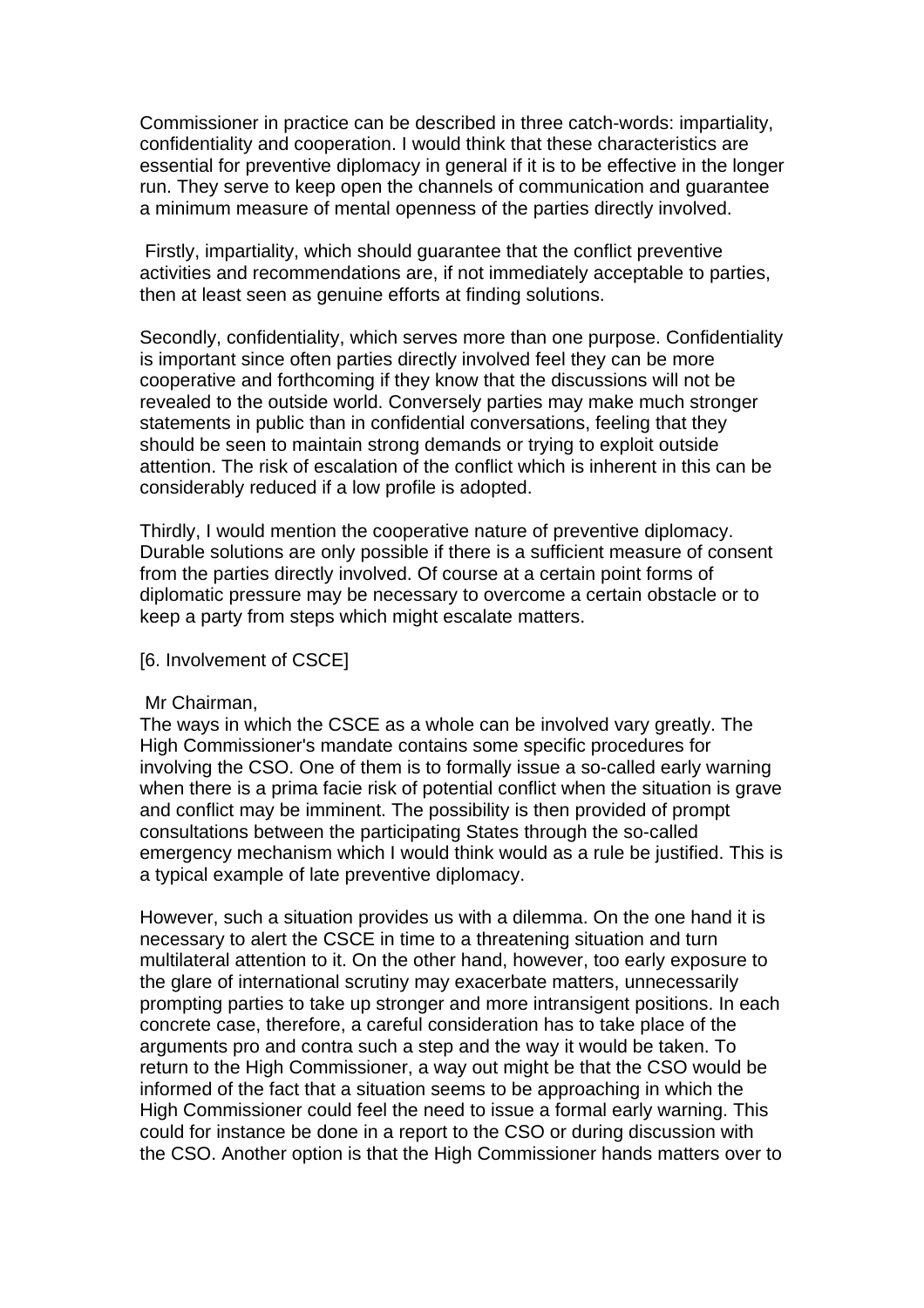Commissioner in practice can be described in three catch-words: impartiality, confidentiality and cooperation. I would think that these characteristics are essential for preventive diplomacy in general if it is to be effective in the longer run. They serve to keep open the channels of communication and guarantee a minimum measure of mental openness of the parties directly involved.

 Firstly, impartiality, which should guarantee that the conflict preventive activities and recommendations are, if not immediately acceptable to parties, then at least seen as genuine efforts at finding solutions.

Secondly, confidentiality, which serves more than one purpose. Confidentiality is important since often parties directly involved feel they can be more cooperative and forthcoming if they know that the discussions will not be revealed to the outside world. Conversely parties may make much stronger statements in public than in confidential conversations, feeling that they should be seen to maintain strong demands or trying to exploit outside attention. The risk of escalation of the conflict which is inherent in this can be considerably reduced if a low profile is adopted.

Thirdly, I would mention the cooperative nature of preventive diplomacy. Durable solutions are only possible if there is a sufficient measure of consent from the parties directly involved. Of course at a certain point forms of diplomatic pressure may be necessary to overcome a certain obstacle or to keep a party from steps which might escalate matters.

#### [6. Involvement of CSCE]

#### Mr Chairman,

The ways in which the CSCE as a whole can be involved vary greatly. The High Commissioner's mandate contains some specific procedures for involving the CSO. One of them is to formally issue a so-called early warning when there is a prima facie risk of potential conflict when the situation is grave and conflict may be imminent. The possibility is then provided of prompt consultations between the participating States through the so-called emergency mechanism which I would think would as a rule be justified. This is a typical example of late preventive diplomacy.

However, such a situation provides us with a dilemma. On the one hand it is necessary to alert the CSCE in time to a threatening situation and turn multilateral attention to it. On the other hand, however, too early exposure to the glare of international scrutiny may exacerbate matters, unnecessarily prompting parties to take up stronger and more intransigent positions. In each concrete case, therefore, a careful consideration has to take place of the arguments pro and contra such a step and the way it would be taken. To return to the High Commissioner, a way out might be that the CSO would be informed of the fact that a situation seems to be approaching in which the High Commissioner could feel the need to issue a formal early warning. This could for instance be done in a report to the CSO or during discussion with the CSO. Another option is that the High Commissioner hands matters over to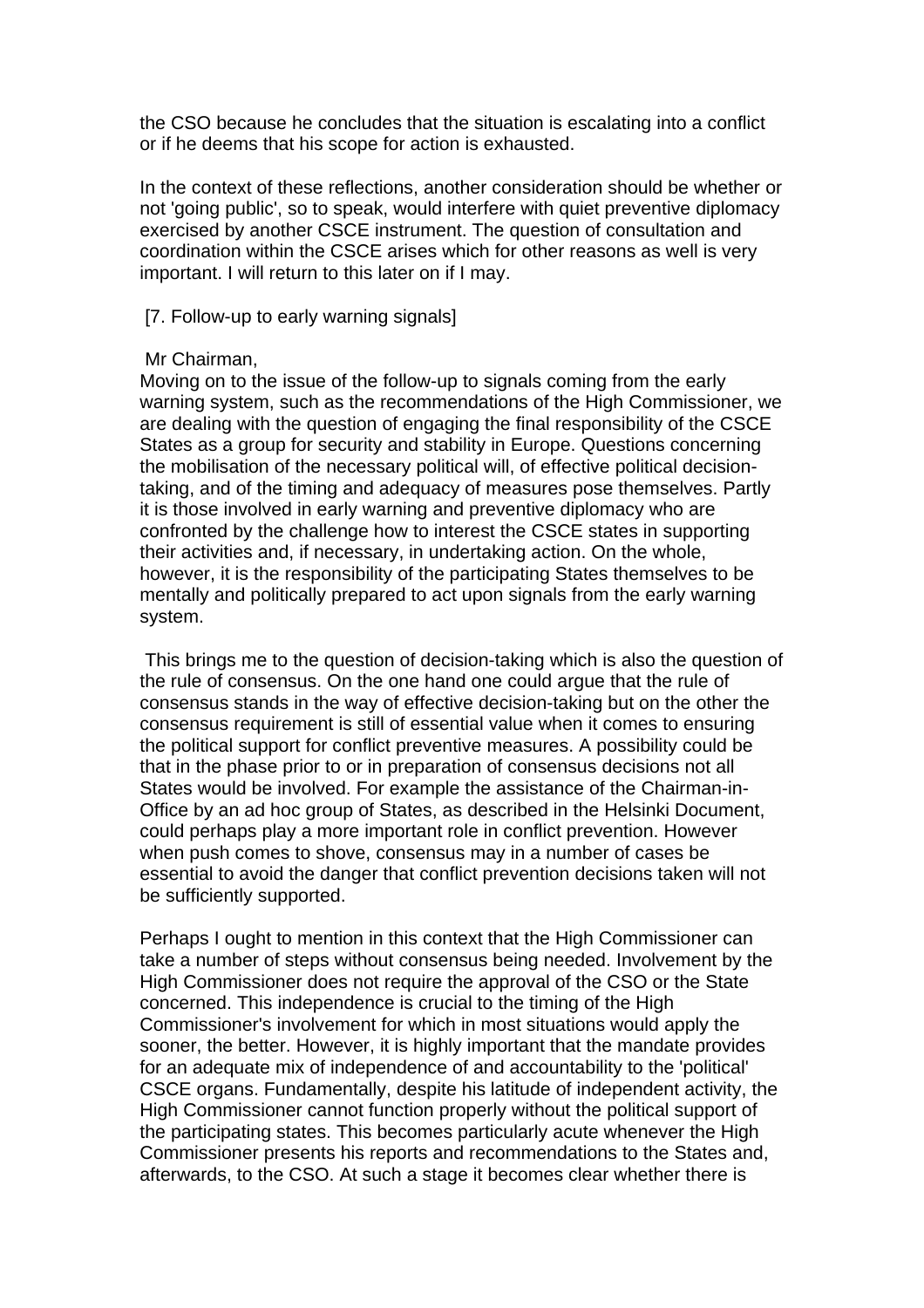the CSO because he concludes that the situation is escalating into a conflict or if he deems that his scope for action is exhausted.

In the context of these reflections, another consideration should be whether or not 'going public', so to speak, would interfere with quiet preventive diplomacy exercised by another CSCE instrument. The question of consultation and coordination within the CSCE arises which for other reasons as well is very important. I will return to this later on if I may.

[7. Follow-up to early warning signals]

#### Mr Chairman,

Moving on to the issue of the follow-up to signals coming from the early warning system, such as the recommendations of the High Commissioner, we are dealing with the question of engaging the final responsibility of the CSCE States as a group for security and stability in Europe. Questions concerning the mobilisation of the necessary political will, of effective political decisiontaking, and of the timing and adequacy of measures pose themselves. Partly it is those involved in early warning and preventive diplomacy who are confronted by the challenge how to interest the CSCE states in supporting their activities and, if necessary, in undertaking action. On the whole, however, it is the responsibility of the participating States themselves to be mentally and politically prepared to act upon signals from the early warning system.

 This brings me to the question of decision-taking which is also the question of the rule of consensus. On the one hand one could argue that the rule of consensus stands in the way of effective decision-taking but on the other the consensus requirement is still of essential value when it comes to ensuring the political support for conflict preventive measures. A possibility could be that in the phase prior to or in preparation of consensus decisions not all States would be involved. For example the assistance of the Chairman-in-Office by an ad hoc group of States, as described in the Helsinki Document, could perhaps play a more important role in conflict prevention. However when push comes to shove, consensus may in a number of cases be essential to avoid the danger that conflict prevention decisions taken will not be sufficiently supported.

Perhaps I ought to mention in this context that the High Commissioner can take a number of steps without consensus being needed. Involvement by the High Commissioner does not require the approval of the CSO or the State concerned. This independence is crucial to the timing of the High Commissioner's involvement for which in most situations would apply the sooner, the better. However, it is highly important that the mandate provides for an adequate mix of independence of and accountability to the 'political' CSCE organs. Fundamentally, despite his latitude of independent activity, the High Commissioner cannot function properly without the political support of the participating states. This becomes particularly acute whenever the High Commissioner presents his reports and recommendations to the States and, afterwards, to the CSO. At such a stage it becomes clear whether there is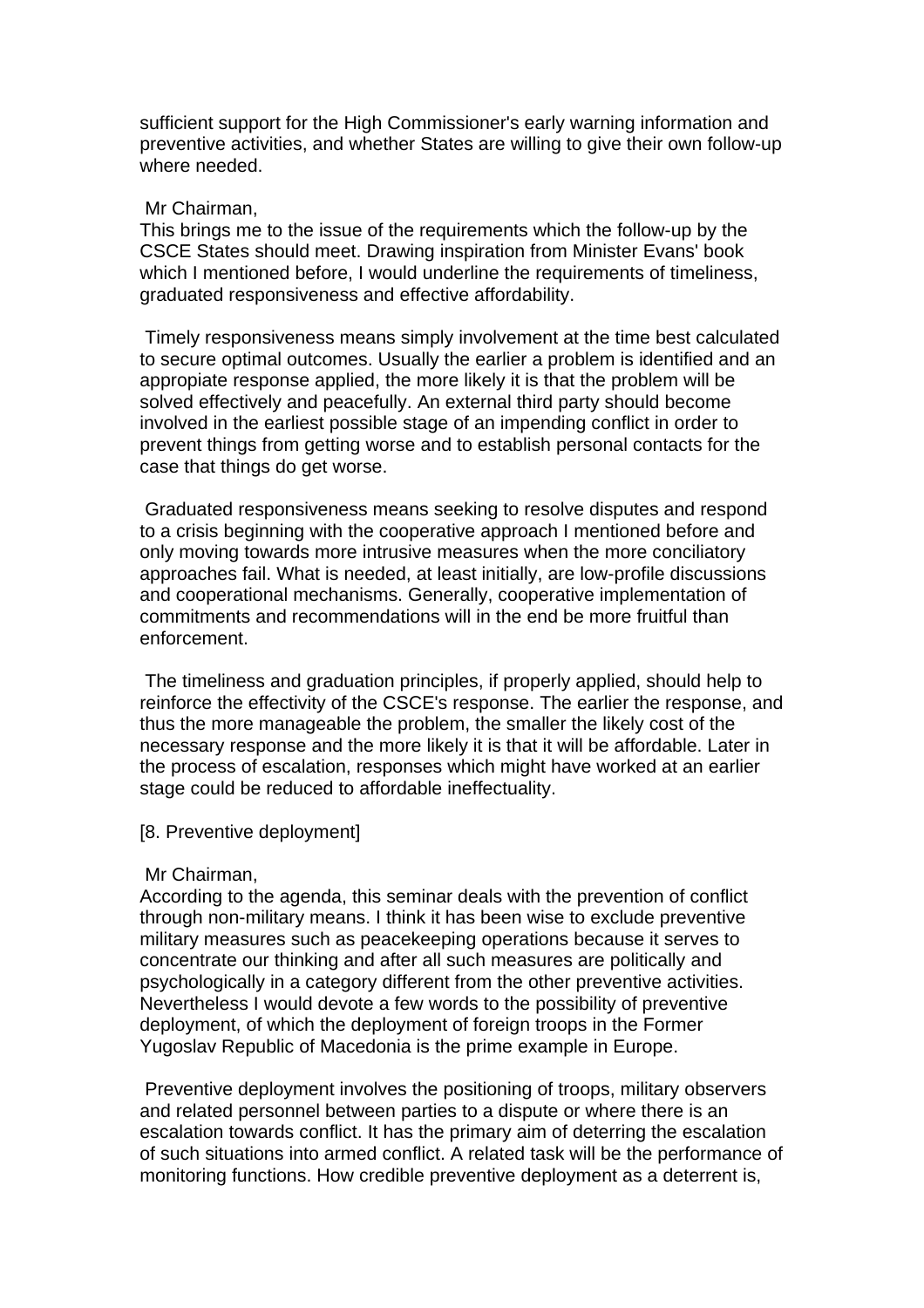sufficient support for the High Commissioner's early warning information and preventive activities, and whether States are willing to give their own follow-up where needed.

#### Mr Chairman,

This brings me to the issue of the requirements which the follow-up by the CSCE States should meet. Drawing inspiration from Minister Evans' book which I mentioned before, I would underline the requirements of timeliness, graduated responsiveness and effective affordability.

 Timely responsiveness means simply involvement at the time best calculated to secure optimal outcomes. Usually the earlier a problem is identified and an appropiate response applied, the more likely it is that the problem will be solved effectively and peacefully. An external third party should become involved in the earliest possible stage of an impending conflict in order to prevent things from getting worse and to establish personal contacts for the case that things do get worse.

 Graduated responsiveness means seeking to resolve disputes and respond to a crisis beginning with the cooperative approach I mentioned before and only moving towards more intrusive measures when the more conciliatory approaches fail. What is needed, at least initially, are low-profile discussions and cooperational mechanisms. Generally, cooperative implementation of commitments and recommendations will in the end be more fruitful than enforcement.

 The timeliness and graduation principles, if properly applied, should help to reinforce the effectivity of the CSCE's response. The earlier the response, and thus the more manageable the problem, the smaller the likely cost of the necessary response and the more likely it is that it will be affordable. Later in the process of escalation, responses which might have worked at an earlier stage could be reduced to affordable ineffectuality.

#### [8. Preventive deployment]

#### Mr Chairman,

According to the agenda, this seminar deals with the prevention of conflict through non-military means. I think it has been wise to exclude preventive military measures such as peacekeeping operations because it serves to concentrate our thinking and after all such measures are politically and psychologically in a category different from the other preventive activities. Nevertheless I would devote a few words to the possibility of preventive deployment, of which the deployment of foreign troops in the Former Yugoslav Republic of Macedonia is the prime example in Europe.

 Preventive deployment involves the positioning of troops, military observers and related personnel between parties to a dispute or where there is an escalation towards conflict. It has the primary aim of deterring the escalation of such situations into armed conflict. A related task will be the performance of monitoring functions. How credible preventive deployment as a deterrent is,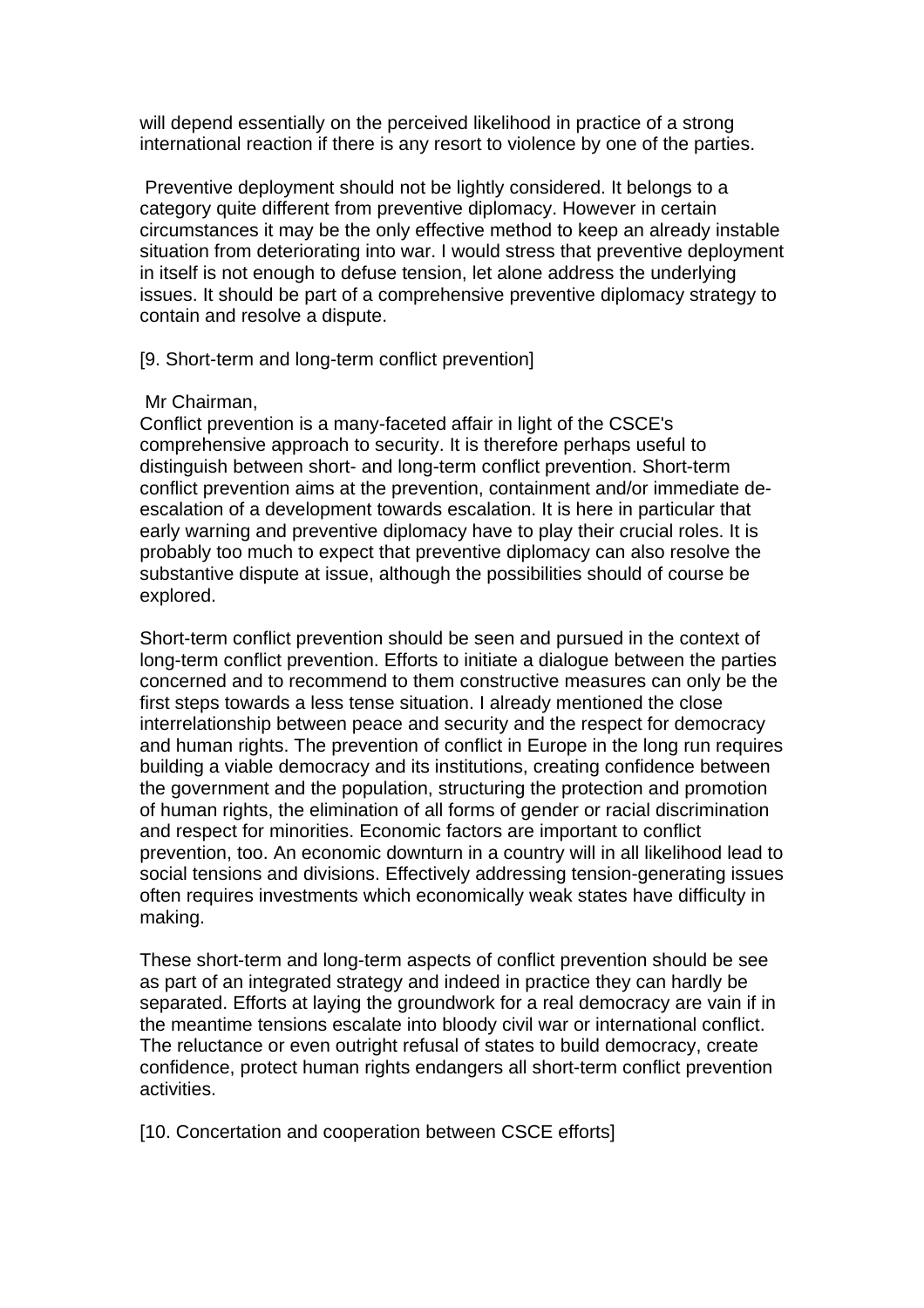will depend essentially on the perceived likelihood in practice of a strong international reaction if there is any resort to violence by one of the parties.

 Preventive deployment should not be lightly considered. It belongs to a category quite different from preventive diplomacy. However in certain circumstances it may be the only effective method to keep an already instable situation from deteriorating into war. I would stress that preventive deployment in itself is not enough to defuse tension, let alone address the underlying issues. It should be part of a comprehensive preventive diplomacy strategy to contain and resolve a dispute.

# [9. Short-term and long-term conflict prevention]

# Mr Chairman,

Conflict prevention is a many-faceted affair in light of the CSCE's comprehensive approach to security. It is therefore perhaps useful to distinguish between short- and long-term conflict prevention. Short-term conflict prevention aims at the prevention, containment and/or immediate deescalation of a development towards escalation. It is here in particular that early warning and preventive diplomacy have to play their crucial roles. It is probably too much to expect that preventive diplomacy can also resolve the substantive dispute at issue, although the possibilities should of course be explored.

Short-term conflict prevention should be seen and pursued in the context of long-term conflict prevention. Efforts to initiate a dialogue between the parties concerned and to recommend to them constructive measures can only be the first steps towards a less tense situation. I already mentioned the close interrelationship between peace and security and the respect for democracy and human rights. The prevention of conflict in Europe in the long run requires building a viable democracy and its institutions, creating confidence between the government and the population, structuring the protection and promotion of human rights, the elimination of all forms of gender or racial discrimination and respect for minorities. Economic factors are important to conflict prevention, too. An economic downturn in a country will in all likelihood lead to social tensions and divisions. Effectively addressing tension-generating issues often requires investments which economically weak states have difficulty in making.

These short-term and long-term aspects of conflict prevention should be see as part of an integrated strategy and indeed in practice they can hardly be separated. Efforts at laying the groundwork for a real democracy are vain if in the meantime tensions escalate into bloody civil war or international conflict. The reluctance or even outright refusal of states to build democracy, create confidence, protect human rights endangers all short-term conflict prevention activities.

[10. Concertation and cooperation between CSCE efforts]